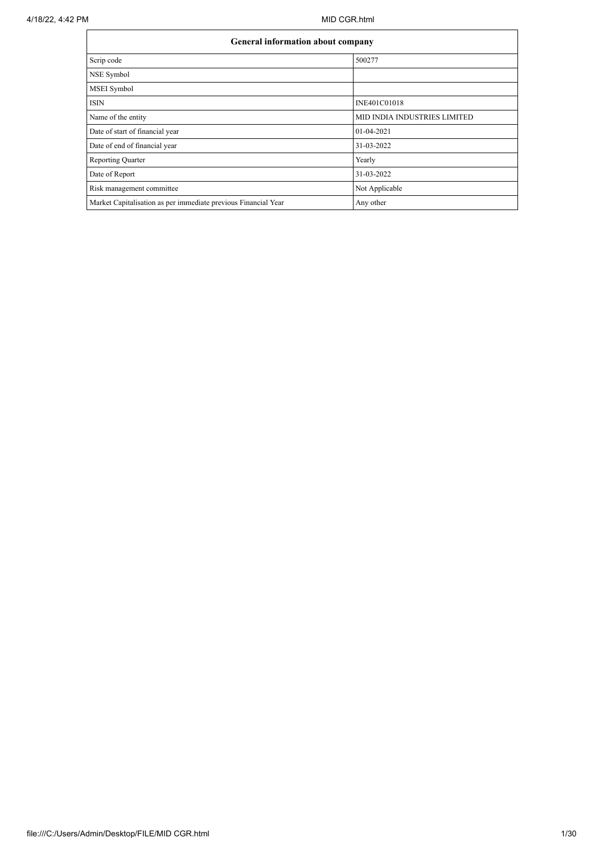|                                                                | <b>General information about company</b> |  |  |  |  |  |  |  |
|----------------------------------------------------------------|------------------------------------------|--|--|--|--|--|--|--|
| Scrip code                                                     | 500277                                   |  |  |  |  |  |  |  |
| NSE Symbol                                                     |                                          |  |  |  |  |  |  |  |
| MSEI Symbol                                                    |                                          |  |  |  |  |  |  |  |
| <b>ISIN</b>                                                    | INE401C01018                             |  |  |  |  |  |  |  |
| Name of the entity                                             | MID INDIA INDUSTRIES LIMITED             |  |  |  |  |  |  |  |
| Date of start of financial year                                | 01-04-2021                               |  |  |  |  |  |  |  |
| Date of end of financial year                                  | 31-03-2022                               |  |  |  |  |  |  |  |
| Reporting Quarter                                              | Yearly                                   |  |  |  |  |  |  |  |
| Date of Report                                                 | 31-03-2022                               |  |  |  |  |  |  |  |
| Risk management committee                                      | Not Applicable                           |  |  |  |  |  |  |  |
| Market Capitalisation as per immediate previous Financial Year | Any other                                |  |  |  |  |  |  |  |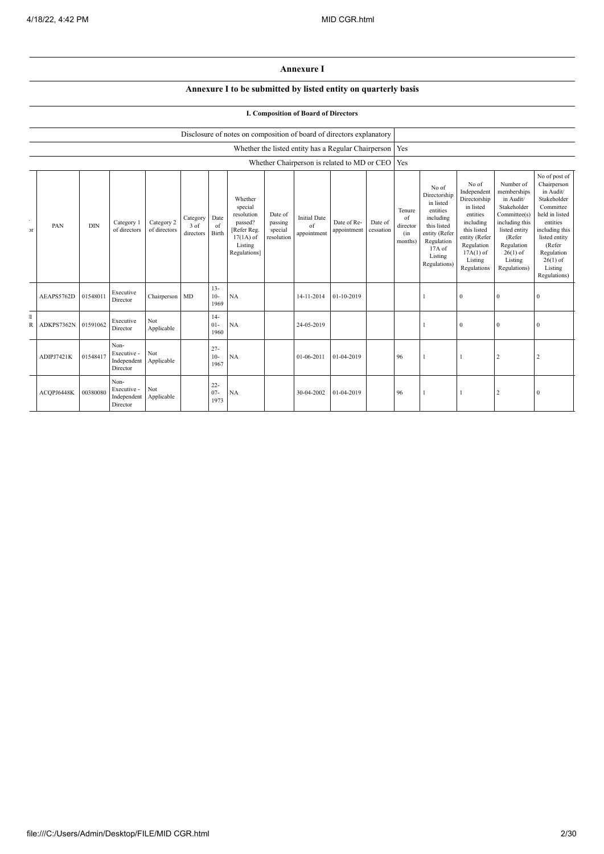## **Annexure I**

## **Annexure I to be submitted by listed entity on quarterly basis**

## **I. Composition of Board of Directors**

|                            |                                             | Disclosure of notes on composition of board of directors explanatory |                                                |                            |                               |                          |                                                                                                      |                                             |                                          |                                                           |                      |                                            |                                                                                                                                                  |                                                                                                                                                                   |                                                                                                                                                                          |                                                                                                                                                                                                         |
|----------------------------|---------------------------------------------|----------------------------------------------------------------------|------------------------------------------------|----------------------------|-------------------------------|--------------------------|------------------------------------------------------------------------------------------------------|---------------------------------------------|------------------------------------------|-----------------------------------------------------------|----------------------|--------------------------------------------|--------------------------------------------------------------------------------------------------------------------------------------------------|-------------------------------------------------------------------------------------------------------------------------------------------------------------------|--------------------------------------------------------------------------------------------------------------------------------------------------------------------------|---------------------------------------------------------------------------------------------------------------------------------------------------------------------------------------------------------|
|                            |                                             |                                                                      |                                                |                            |                               |                          |                                                                                                      |                                             |                                          | Whether the listed entity has a Regular Chairperson   Yes |                      |                                            |                                                                                                                                                  |                                                                                                                                                                   |                                                                                                                                                                          |                                                                                                                                                                                                         |
|                            | Whether Chairperson is related to MD or CEO |                                                                      |                                                |                            |                               |                          | Yes                                                                                                  |                                             |                                          |                                                           |                      |                                            |                                                                                                                                                  |                                                                                                                                                                   |                                                                                                                                                                          |                                                                                                                                                                                                         |
| $\bullet$<br>$\mathcal{F}$ | PAN                                         | <b>DIN</b>                                                           | Category 1<br>of directors                     | Category 2<br>of directors | Category<br>3 of<br>directors | Date<br>of<br>Birth      | Whether<br>special<br>resolution<br>passed?<br>[Refer Reg.<br>$17(1A)$ of<br>Listing<br>Regulations] | Date of<br>passing<br>special<br>resolution | <b>Initial Date</b><br>of<br>appointment | Date of Re-<br>appointment                                | Date of<br>cessation | Tenure<br>of<br>director<br>(in<br>months) | No of<br>Directorship<br>in listed<br>entities<br>including<br>this listed<br>entity (Refer<br>Regulation<br>$17A$ of<br>Listing<br>Regulations) | No of<br>Independent<br>Directorship<br>in listed<br>entities<br>including<br>this listed<br>entity (Refer<br>Regulation<br>$17A(1)$ of<br>Listing<br>Regulations | Number of<br>memberships<br>in Audit/<br>Stakeholder<br>Committee(s)<br>including this<br>listed entity<br>(Refer<br>Regulation<br>$26(1)$ of<br>Listing<br>Regulations) | No of post of<br>Chairperson<br>in Audit/<br>Stakeholder<br>Committee<br>held in listed<br>entities<br>including this<br>listed entity<br>(Refer<br>Regulation<br>$26(1)$ of<br>Listing<br>Regulations) |
|                            | AEAPS5762D                                  | 01548011                                                             | Executive<br>Director                          | Chairperson MD             |                               | $13 -$<br>$10-$<br>1969  | NA                                                                                                   |                                             | 14-11-2014                               | 01-10-2019                                                |                      |                                            |                                                                                                                                                  | $\mathbf{0}$                                                                                                                                                      |                                                                                                                                                                          |                                                                                                                                                                                                         |
| T<br>R                     | ADKPS7362N                                  | 01591062                                                             | Executive<br>Director                          | Not<br>Applicable          |                               | $14-$<br>$01 -$<br>1960  | NA                                                                                                   |                                             | 24-05-2019                               |                                                           |                      |                                            |                                                                                                                                                  | $\bf{0}$                                                                                                                                                          | $\theta$                                                                                                                                                                 | $\mathbf{0}$                                                                                                                                                                                            |
|                            | ADIPJ7421K                                  | 01548417                                                             | Non-<br>Executive -<br>Independent<br>Director | Not<br>Applicable          |                               | $27 -$<br>$10-$<br>1967  | NA                                                                                                   |                                             | 01-06-2011                               | 01-04-2019                                                |                      | 96                                         |                                                                                                                                                  |                                                                                                                                                                   | 2                                                                                                                                                                        |                                                                                                                                                                                                         |
|                            | ACQPJ6448K                                  | 00380080                                                             | Non-<br>Executive -<br>Independent<br>Director | Not<br>Applicable          |                               | $22 -$<br>$07 -$<br>1973 | NA                                                                                                   |                                             | 30-04-2002                               | 01-04-2019                                                |                      | 96                                         |                                                                                                                                                  |                                                                                                                                                                   | $\overline{2}$                                                                                                                                                           | $\mathbf{0}$                                                                                                                                                                                            |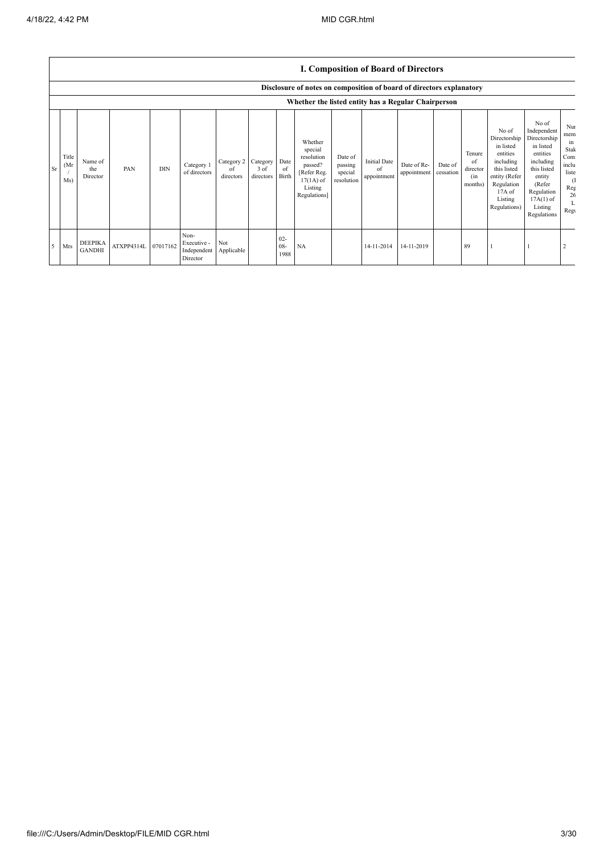|    |                      |                                 |            |            |                                                |                               |                                 |                       |                                                                                                      |                                             | <b>I. Composition of Board of Directors</b> |                            |                      |                                            |                                                                                                                                                |                                                                                                                                                                      |                                                                                         |
|----|----------------------|---------------------------------|------------|------------|------------------------------------------------|-------------------------------|---------------------------------|-----------------------|------------------------------------------------------------------------------------------------------|---------------------------------------------|---------------------------------------------|----------------------------|----------------------|--------------------------------------------|------------------------------------------------------------------------------------------------------------------------------------------------|----------------------------------------------------------------------------------------------------------------------------------------------------------------------|-----------------------------------------------------------------------------------------|
|    |                      |                                 |            |            |                                                |                               |                                 |                       | Disclosure of notes on composition of board of directors explanatory                                 |                                             |                                             |                            |                      |                                            |                                                                                                                                                |                                                                                                                                                                      |                                                                                         |
|    |                      |                                 |            |            |                                                |                               |                                 |                       | Whether the listed entity has a Regular Chairperson                                                  |                                             |                                             |                            |                      |                                            |                                                                                                                                                |                                                                                                                                                                      |                                                                                         |
| Sr | Title<br>(Mr)<br>Ms) | Name of<br>the<br>Director      | PAN        | <b>DIN</b> | Category 1<br>of directors                     | Category 2<br>of<br>directors | Category  <br>3 of<br>directors | Date<br>of<br>Birth   | Whether<br>special<br>resolution<br>passed?<br>[Refer Reg.<br>$17(1A)$ of<br>Listing<br>Regulations] | Date of<br>passing<br>special<br>resolution | <b>Initial Date</b><br>of<br>appointment    | Date of Re-<br>appointment | Date of<br>cessation | Tenure<br>of<br>director<br>(in<br>months) | No of<br>Directorship<br>in listed<br>entities<br>including<br>this listed<br>entity (Refer<br>Regulation<br>17A of<br>Listing<br>Regulations) | No of<br>Independent<br>Directorship<br>in listed<br>entities<br>including<br>this listed<br>entity<br>(Refer<br>Regulation<br>$17A(1)$ of<br>Listing<br>Regulations | Nui<br>mem<br>ın<br>Stak<br>Com<br>inclu<br>liste<br><sup>(1</sup><br>Reg<br>26<br>Regu |
| 5  | Mrs                  | <b>DEEPIKA</b><br><b>GANDHI</b> | ATXPP4314L | 07017162   | Non-<br>Executive -<br>Independent<br>Director | Not<br>Applicable             |                                 | $02 -$<br>08-<br>1988 | NA                                                                                                   |                                             | 14-11-2014                                  | 14-11-2019                 |                      | 89                                         |                                                                                                                                                |                                                                                                                                                                      |                                                                                         |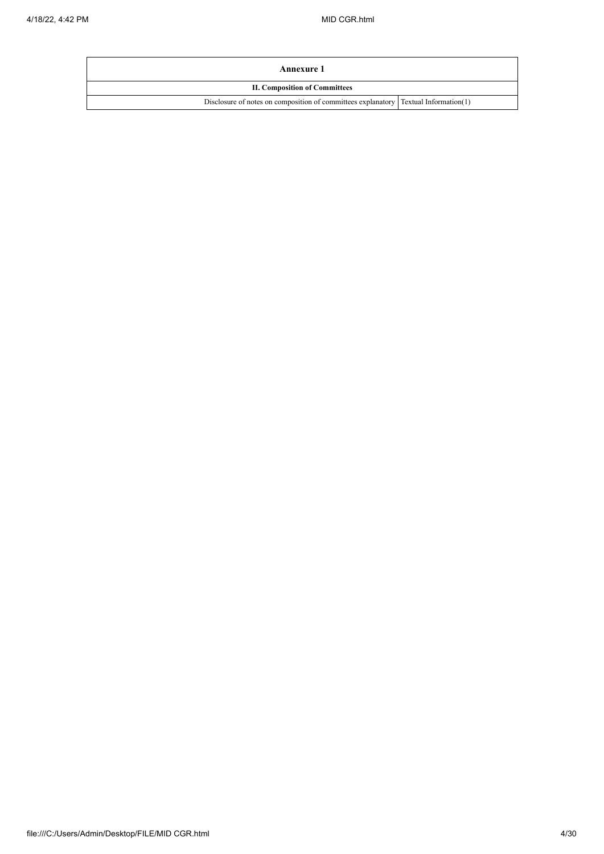| Annexure 1                                                                            |  |
|---------------------------------------------------------------------------------------|--|
| <b>II. Composition of Committees</b>                                                  |  |
| Disclosure of notes on composition of committees explanatory   Textual Information(1) |  |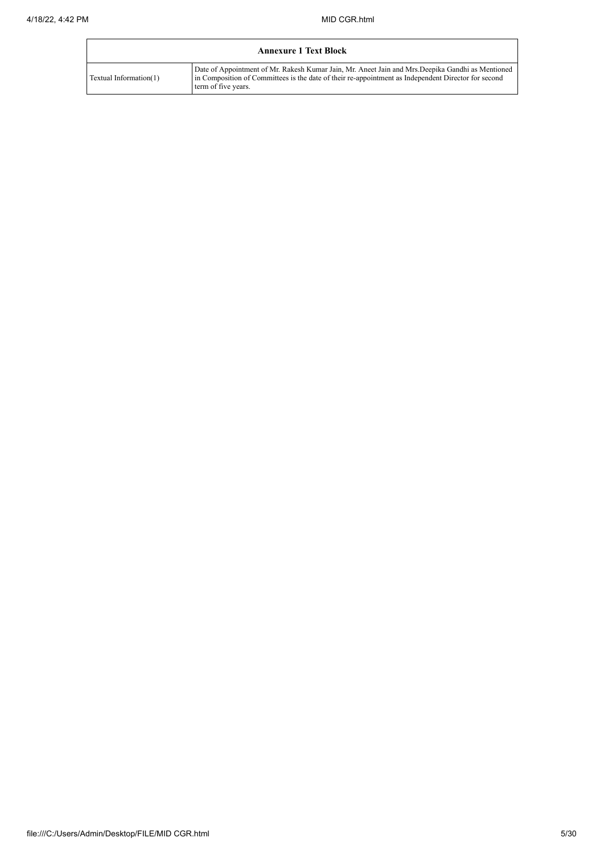| <b>Annexure 1 Text Block</b> |                                                                                                                                                                                                                                 |  |  |  |  |  |  |  |
|------------------------------|---------------------------------------------------------------------------------------------------------------------------------------------------------------------------------------------------------------------------------|--|--|--|--|--|--|--|
| Textual Information(1)       | Date of Appointment of Mr. Rakesh Kumar Jain, Mr. Aneet Jain and Mrs. Deepika Gandhi as Mentioned<br>in Composition of Committees is the date of their re-appointment as Independent Director for second<br>term of five years. |  |  |  |  |  |  |  |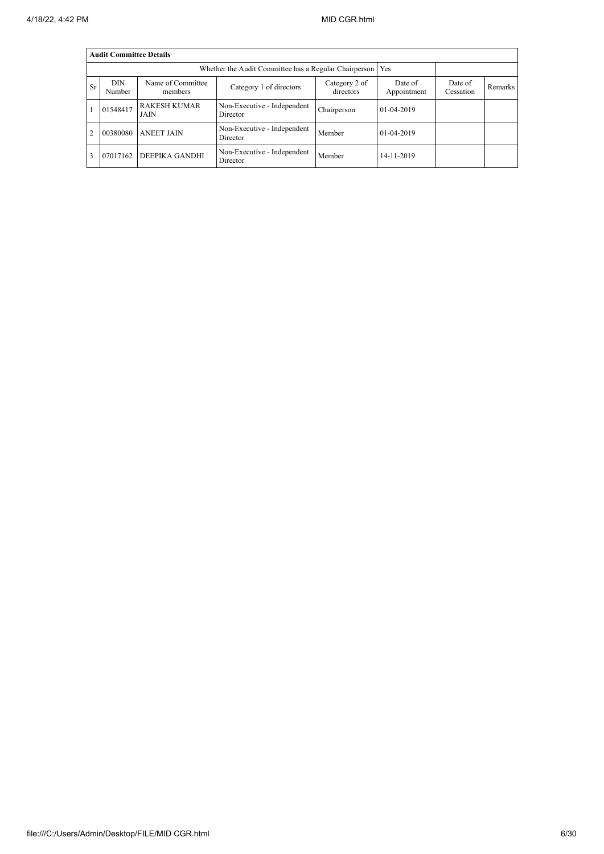|           | <b>Audit Committee Details</b>                                                                                |                             |                                         |             |            |                      |         |  |  |  |  |
|-----------|---------------------------------------------------------------------------------------------------------------|-----------------------------|-----------------------------------------|-------------|------------|----------------------|---------|--|--|--|--|
|           |                                                                                                               |                             |                                         |             |            |                      |         |  |  |  |  |
| <b>Sr</b> | <b>DIN</b><br>Name of Committee<br>Category 2 of<br>Category 1 of directors<br>directors<br>Number<br>members |                             |                                         |             |            | Date of<br>Cessation | Remarks |  |  |  |  |
|           | 01548417                                                                                                      | <b>RAKESH KUMAR</b><br>JAIN | Non-Executive - Independent<br>Director | Chairperson | 01-04-2019 |                      |         |  |  |  |  |
| 2         | 00380080                                                                                                      | <b>ANEET JAIN</b>           | Non-Executive - Independent<br>Director | Member      | 01-04-2019 |                      |         |  |  |  |  |
| 3         | 07017162                                                                                                      | DEEPIKA GANDHI              | Non-Executive - Independent<br>Director | Member      | 14-11-2019 |                      |         |  |  |  |  |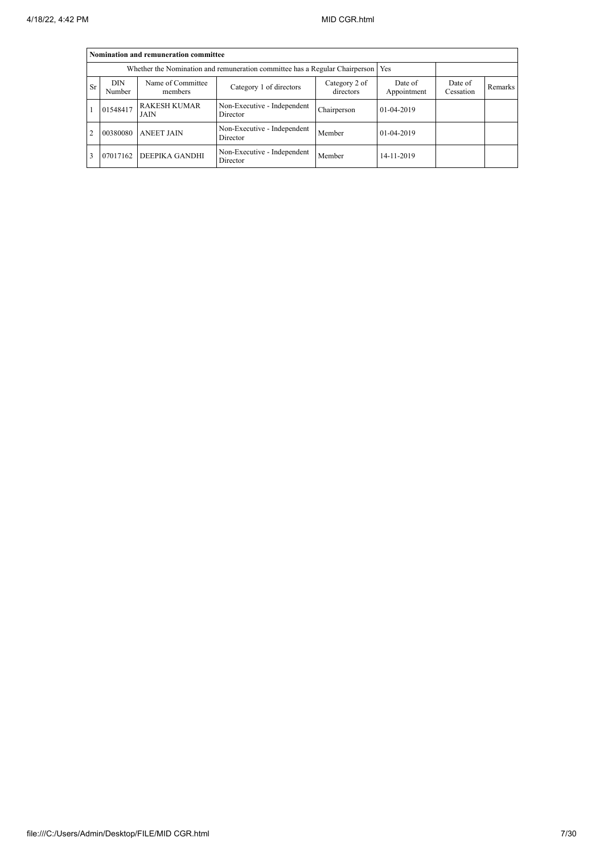|           | Nomination and remuneration committee                                             |                             |                                         |             |            |  |  |  |  |  |  |
|-----------|-----------------------------------------------------------------------------------|-----------------------------|-----------------------------------------|-------------|------------|--|--|--|--|--|--|
|           | Whether the Nomination and remuneration committee has a Regular Chairperson   Yes |                             |                                         |             |            |  |  |  |  |  |  |
| <b>Sr</b> | <b>DIN</b><br>Number                                                              | Date of<br>Appointment      | Date of<br>Cessation                    | Remarks     |            |  |  |  |  |  |  |
|           | 01548417                                                                          | <b>RAKESH KUMAR</b><br>JAIN | Non-Executive - Independent<br>Director | Chairperson | 01-04-2019 |  |  |  |  |  |  |
|           | 00380080                                                                          | <b>ANEET JAIN</b>           | Non-Executive - Independent<br>Director | Member      | 01-04-2019 |  |  |  |  |  |  |
|           | 07017162                                                                          | <b>DEEPIKA GANDHI</b>       | Non-Executive - Independent<br>Director | Member      | 14-11-2019 |  |  |  |  |  |  |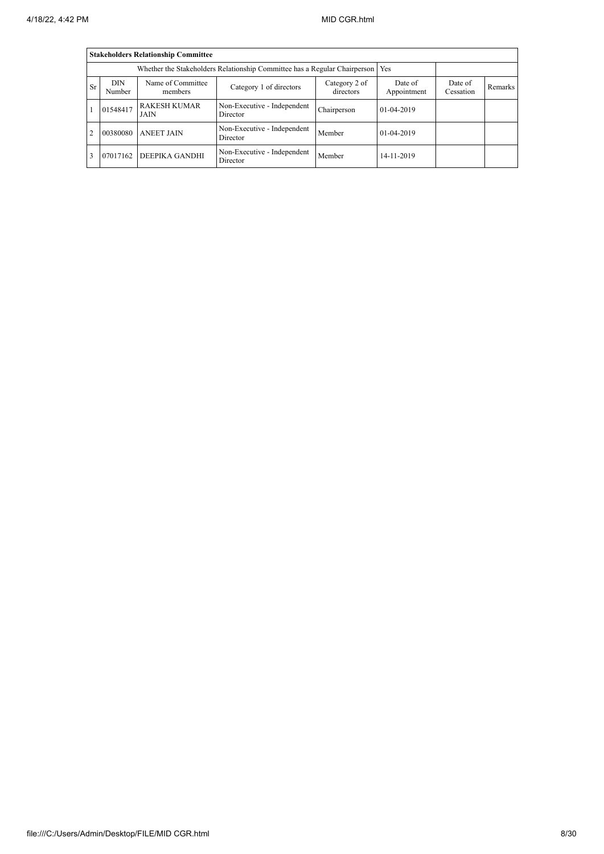|           | <b>Stakeholders Relationship Committee</b> |                             |                                         |             |              |  |  |  |  |  |  |
|-----------|--------------------------------------------|-----------------------------|-----------------------------------------|-------------|--------------|--|--|--|--|--|--|
|           |                                            |                             |                                         |             |              |  |  |  |  |  |  |
| <b>Sr</b> | <b>DIN</b><br>Number                       | Date of<br>Cessation        | Remarks                                 |             |              |  |  |  |  |  |  |
|           | 01548417                                   | <b>RAKESH KUMAR</b><br>JAIN | Non-Executive - Independent<br>Director | Chairperson | $01-04-2019$ |  |  |  |  |  |  |
| 2         | 00380080                                   | <b>ANEET JAIN</b>           | Non-Executive - Independent<br>Director | Member      | 01-04-2019   |  |  |  |  |  |  |
|           | 07017162                                   | DEEPIKA GANDHI              | Non-Executive - Independent<br>Director | Member      | 14-11-2019   |  |  |  |  |  |  |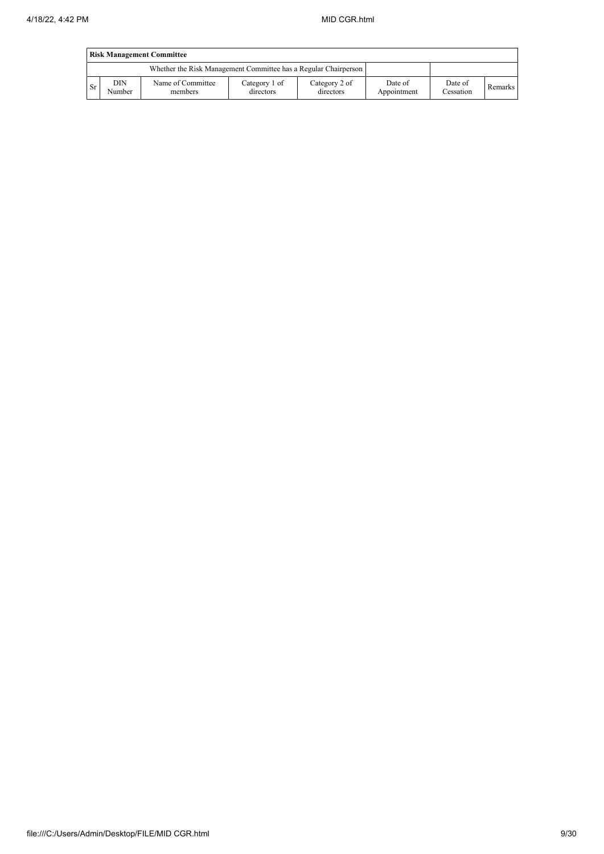|           | <b>Risk Management Committee</b> |                                                                 |                            |                            |                        |                      |         |  |  |  |  |
|-----------|----------------------------------|-----------------------------------------------------------------|----------------------------|----------------------------|------------------------|----------------------|---------|--|--|--|--|
|           |                                  | Whether the Risk Management Committee has a Regular Chairperson |                            |                            |                        |                      |         |  |  |  |  |
| <b>Sr</b> | DIN<br>Number                    | Name of Committee<br>members                                    | Category 1 of<br>directors | Category 2 of<br>directors | Date of<br>Appointment | Date of<br>Cessation | Remarks |  |  |  |  |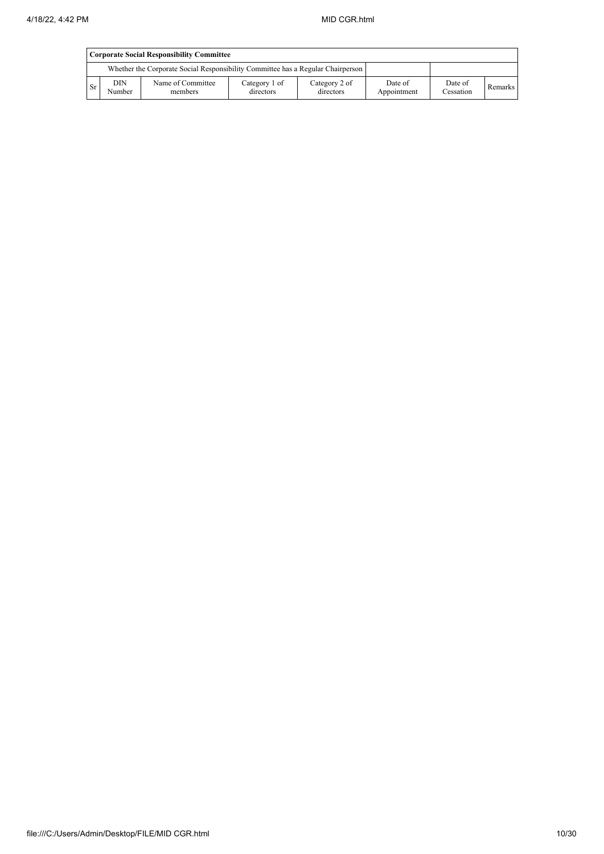|      | <b>Corporate Social Responsibility Committee</b> |                                                                                 |                            |                            |                        |                      |         |  |  |  |
|------|--------------------------------------------------|---------------------------------------------------------------------------------|----------------------------|----------------------------|------------------------|----------------------|---------|--|--|--|
|      |                                                  | Whether the Corporate Social Responsibility Committee has a Regular Chairperson |                            |                            |                        |                      |         |  |  |  |
| ' Sr | <b>DIN</b><br>Number                             | Name of Committee<br>members                                                    | Category 1 of<br>directors | Category 2 of<br>directors | Date of<br>Appointment | Date of<br>Cessation | Remarks |  |  |  |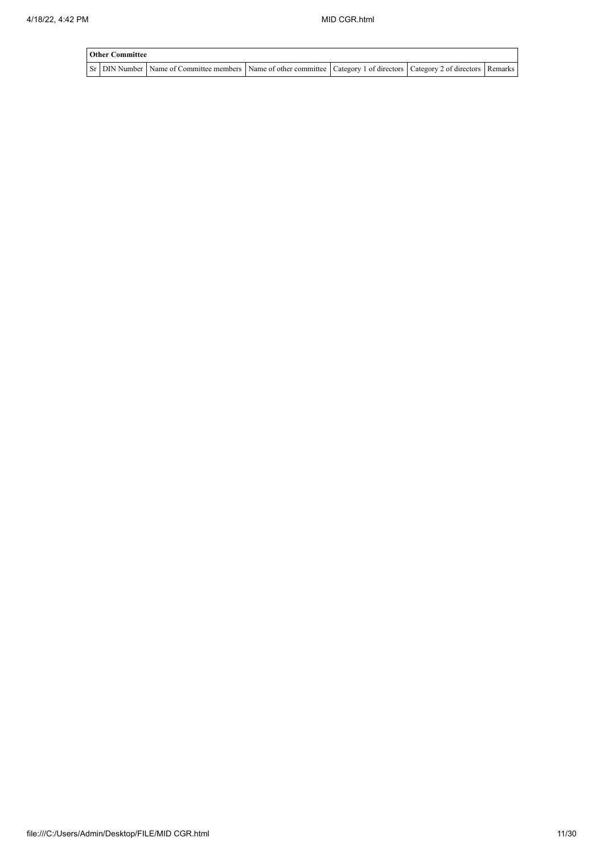| <b>Other Committee</b> |                                                                                                                                     |  |  |  |  |  |  |  |  |  |
|------------------------|-------------------------------------------------------------------------------------------------------------------------------------|--|--|--|--|--|--|--|--|--|
|                        | Sr   DIN Number   Name of Committee members   Name of other committee   Category 1 of directors   Category 2 of directors   Remarks |  |  |  |  |  |  |  |  |  |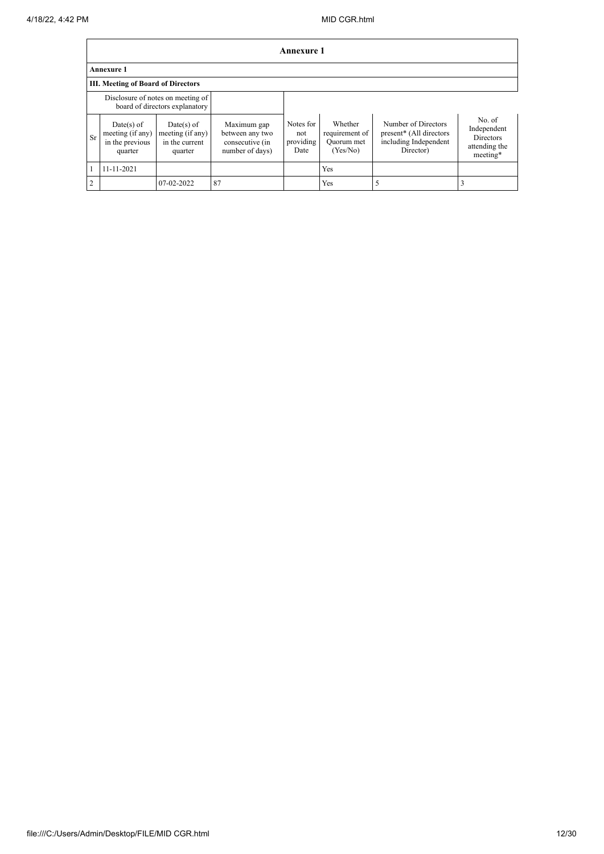|    | <b>Annexure 1</b>                                            |                                                                     |                                                                      |                                       |                                                     |                                                                                      |                                                                        |  |  |  |
|----|--------------------------------------------------------------|---------------------------------------------------------------------|----------------------------------------------------------------------|---------------------------------------|-----------------------------------------------------|--------------------------------------------------------------------------------------|------------------------------------------------------------------------|--|--|--|
|    | <b>Annexure 1</b>                                            |                                                                     |                                                                      |                                       |                                                     |                                                                                      |                                                                        |  |  |  |
|    | <b>III. Meeting of Board of Directors</b>                    |                                                                     |                                                                      |                                       |                                                     |                                                                                      |                                                                        |  |  |  |
|    |                                                              | Disclosure of notes on meeting of<br>board of directors explanatory |                                                                      |                                       |                                                     |                                                                                      |                                                                        |  |  |  |
| Sr | Date(s) of<br>meeting (if any)<br>in the previous<br>quarter | $Date(s)$ of<br>meeting (if any)<br>in the current<br>quarter       | Maximum gap<br>between any two<br>consecutive (in<br>number of days) | Notes for<br>not<br>providing<br>Date | Whether<br>requirement of<br>Quorum met<br>(Yes/No) | Number of Directors<br>present* (All directors<br>including Independent<br>Director) | No. of<br>Independent<br><b>Directors</b><br>attending the<br>meeting* |  |  |  |
|    | 11-11-2021                                                   |                                                                     |                                                                      |                                       | Yes                                                 |                                                                                      |                                                                        |  |  |  |
| C  |                                                              | 07-02-2022                                                          | 87                                                                   |                                       | Yes                                                 | 5                                                                                    |                                                                        |  |  |  |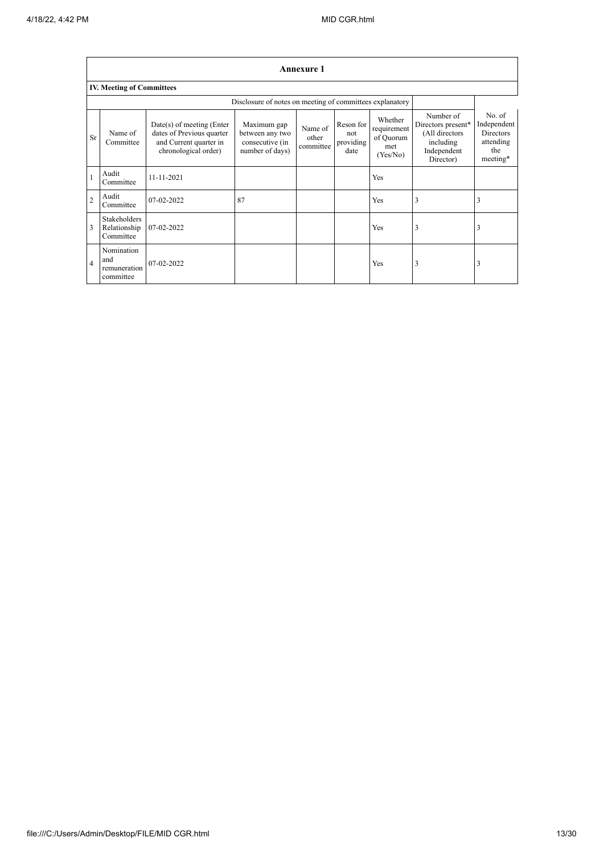$\mathbf{r}$ 

|                | <b>Annexure 1</b>                              |                                                                                                            |                                                                      |                               |                                       |                                                        |                                                                                            |                                                                           |
|----------------|------------------------------------------------|------------------------------------------------------------------------------------------------------------|----------------------------------------------------------------------|-------------------------------|---------------------------------------|--------------------------------------------------------|--------------------------------------------------------------------------------------------|---------------------------------------------------------------------------|
|                | <b>IV. Meeting of Committees</b>               |                                                                                                            |                                                                      |                               |                                       |                                                        |                                                                                            |                                                                           |
|                |                                                |                                                                                                            | Disclosure of notes on meeting of committees explanatory             |                               |                                       |                                                        |                                                                                            |                                                                           |
| <b>Sr</b>      | Name of<br>Committee                           | $Date(s)$ of meeting (Enter<br>dates of Previous quarter<br>and Current quarter in<br>chronological order) | Maximum gap<br>between any two<br>consecutive (in<br>number of days) | Name of<br>other<br>committee | Reson for<br>not<br>providing<br>date | Whether<br>requirement<br>of Quorum<br>met<br>(Yes/No) | Number of<br>Directors present*<br>(All directors<br>including<br>Independent<br>Director) | No. of<br>Independent<br><b>Directors</b><br>attending<br>the<br>meeting* |
| $\mathbf{1}$   | Audit<br>Committee                             | 11-11-2021                                                                                                 |                                                                      |                               |                                       | Yes                                                    |                                                                                            |                                                                           |
| $\overline{2}$ | Audit<br>Committee                             | 07-02-2022                                                                                                 | 87                                                                   |                               |                                       | Yes                                                    | 3                                                                                          | 3                                                                         |
| 3              | Stakeholders<br>Relationship<br>Committee      | 07-02-2022                                                                                                 |                                                                      |                               |                                       | Yes                                                    | 3                                                                                          | 3                                                                         |
| $\overline{4}$ | Nomination<br>and<br>remuneration<br>committee | 07-02-2022                                                                                                 |                                                                      |                               |                                       | Yes                                                    | 3                                                                                          | 3                                                                         |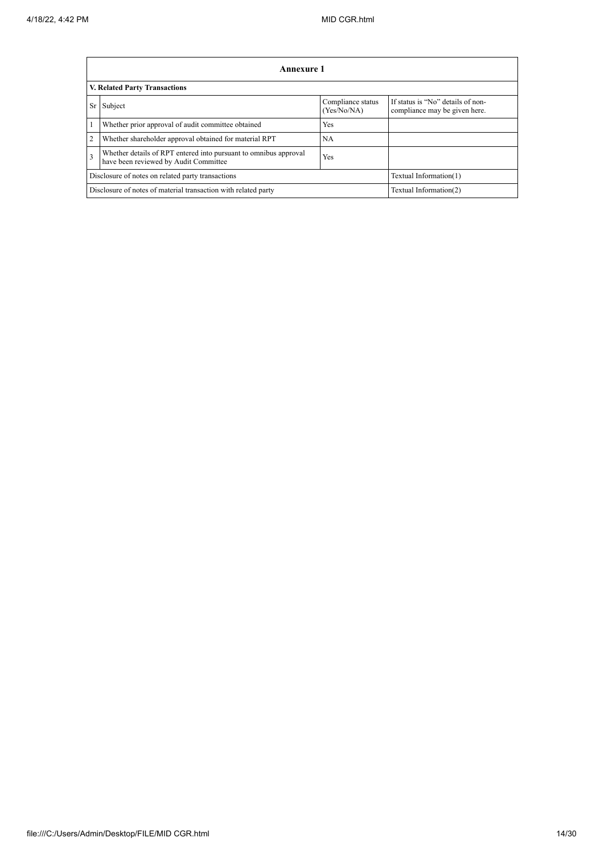|                         | Annexure 1                                                                                                |                                  |                                                                    |  |  |
|-------------------------|-----------------------------------------------------------------------------------------------------------|----------------------------------|--------------------------------------------------------------------|--|--|
|                         | <b>V. Related Party Transactions</b>                                                                      |                                  |                                                                    |  |  |
| Sr                      | Subject                                                                                                   | Compliance status<br>(Yes/No/NA) | If status is "No" details of non-<br>compliance may be given here. |  |  |
|                         | Whether prior approval of audit committee obtained                                                        | Yes                              |                                                                    |  |  |
| $\overline{2}$          | Whether shareholder approval obtained for material RPT                                                    | NА                               |                                                                    |  |  |
| $\overline{\mathbf{3}}$ | Whether details of RPT entered into pursuant to omnibus approval<br>have been reviewed by Audit Committee | Yes                              |                                                                    |  |  |
|                         | Disclosure of notes on related party transactions<br>Textual Information(1)                               |                                  |                                                                    |  |  |
|                         | Disclosure of notes of material transaction with related party                                            |                                  | Textual Information(2)                                             |  |  |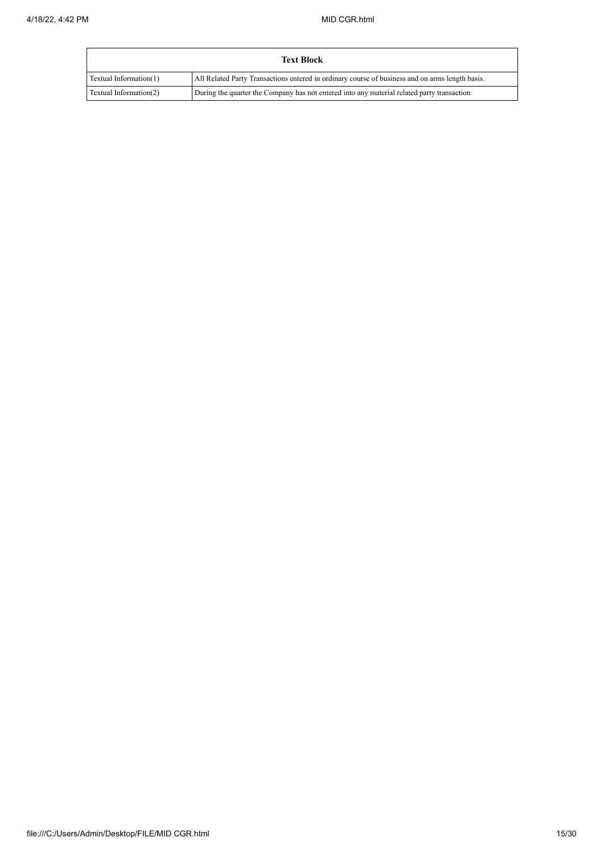|                        | Text Block                                                                                      |
|------------------------|-------------------------------------------------------------------------------------------------|
| Textual Information(1) | All Related Party Transactions entered in ordinary course of business and on arms length basis. |
| Textual Information(2) | During the quarter the Company has not entered into any material related party transaction      |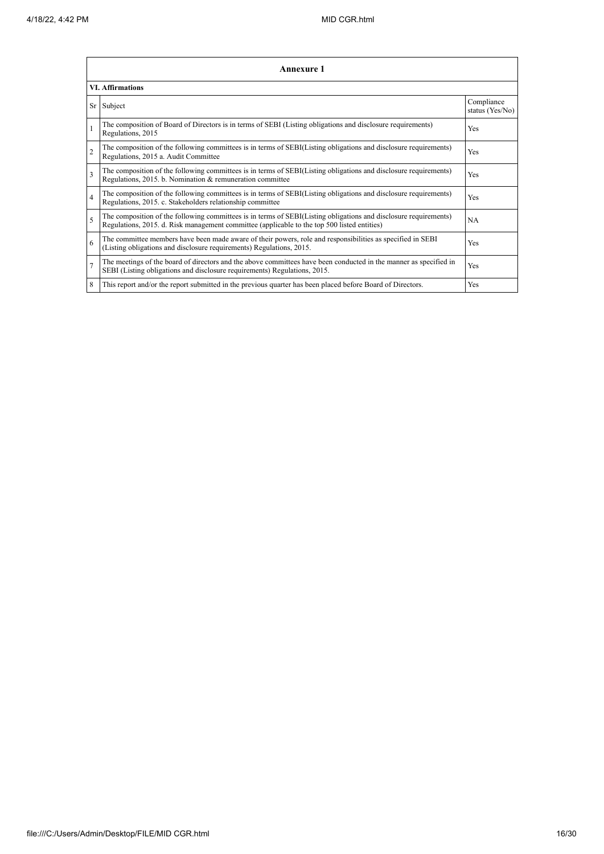|                          | <b>Annexure 1</b>                                                                                                                                                                                               |                               |  |  |  |
|--------------------------|-----------------------------------------------------------------------------------------------------------------------------------------------------------------------------------------------------------------|-------------------------------|--|--|--|
|                          | <b>VI.</b> Affirmations                                                                                                                                                                                         |                               |  |  |  |
|                          | Sr Subject                                                                                                                                                                                                      | Compliance<br>status (Yes/No) |  |  |  |
|                          | The composition of Board of Directors is in terms of SEBI (Listing obligations and disclosure requirements)<br>Regulations, 2015                                                                                | Yes                           |  |  |  |
| $\overline{2}$           | The composition of the following committees is in terms of SEBI(Listing obligations and disclosure requirements)<br>Regulations, 2015 a. Audit Committee                                                        | <b>Yes</b>                    |  |  |  |
| 3                        | The composition of the following committees is in terms of SEBI(Listing obligations and disclosure requirements)<br>Regulations, 2015. b. Nomination & remuneration committee                                   | Yes                           |  |  |  |
| $\overline{4}$           | The composition of the following committees is in terms of SEBI(Listing obligations and disclosure requirements)<br>Regulations, 2015. c. Stakeholders relationship committee                                   | Yes                           |  |  |  |
| $\overline{\phantom{0}}$ | The composition of the following committees is in terms of SEBI(Listing obligations and disclosure requirements)<br>Regulations, 2015. d. Risk management committee (applicable to the top 500 listed entities) | <b>NA</b>                     |  |  |  |
| 6                        | The committee members have been made aware of their powers, role and responsibilities as specified in SEBI<br>(Listing obligations and disclosure requirements) Regulations, 2015.                              | Yes                           |  |  |  |
| $\overline{7}$           | The meetings of the board of directors and the above committees have been conducted in the manner as specified in<br>SEBI (Listing obligations and disclosure requirements) Regulations, 2015.                  | Yes                           |  |  |  |
| 8                        | This report and/or the report submitted in the previous quarter has been placed before Board of Directors.                                                                                                      | Yes                           |  |  |  |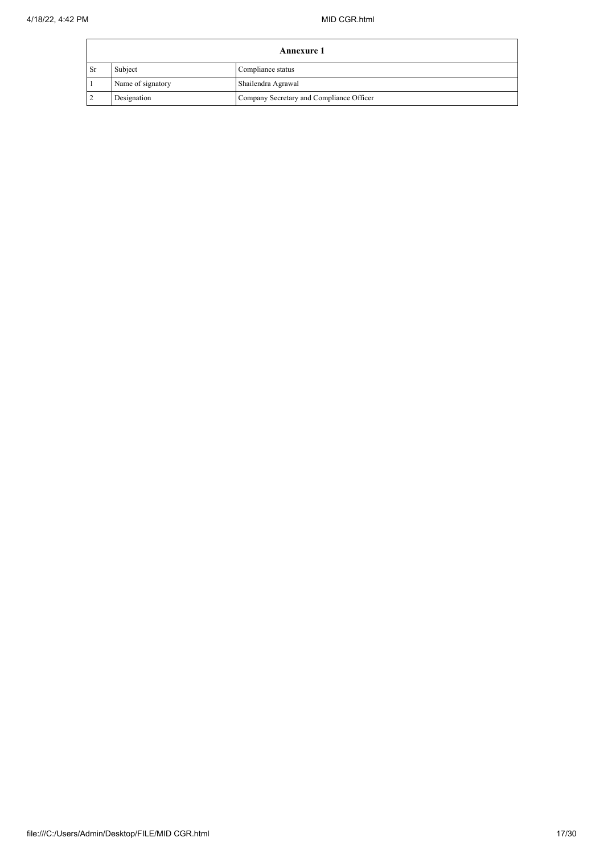|      | Annexure 1        |                                          |  |  |
|------|-------------------|------------------------------------------|--|--|
| l Sr | Subject           | Compliance status                        |  |  |
|      | Name of signatory | Shailendra Agrawal                       |  |  |
|      | Designation       | Company Secretary and Compliance Officer |  |  |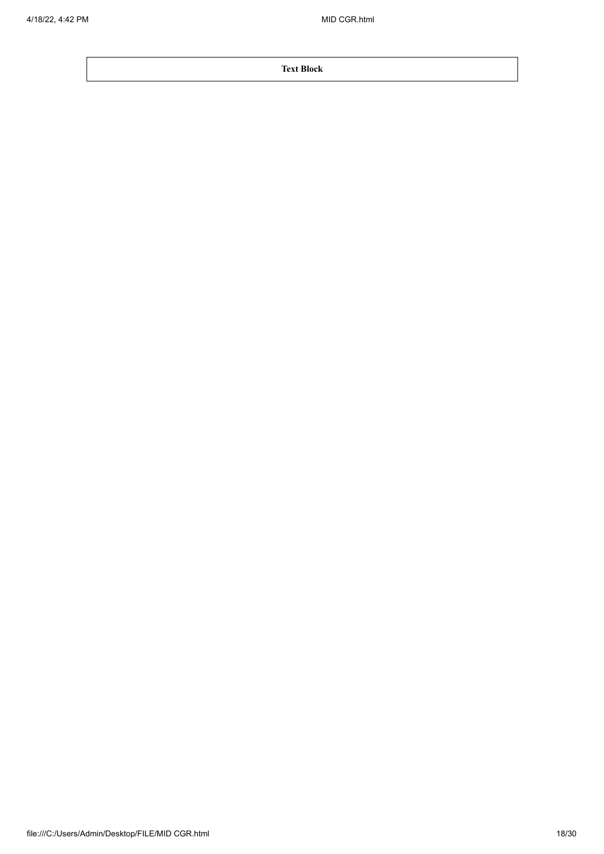**Text Block**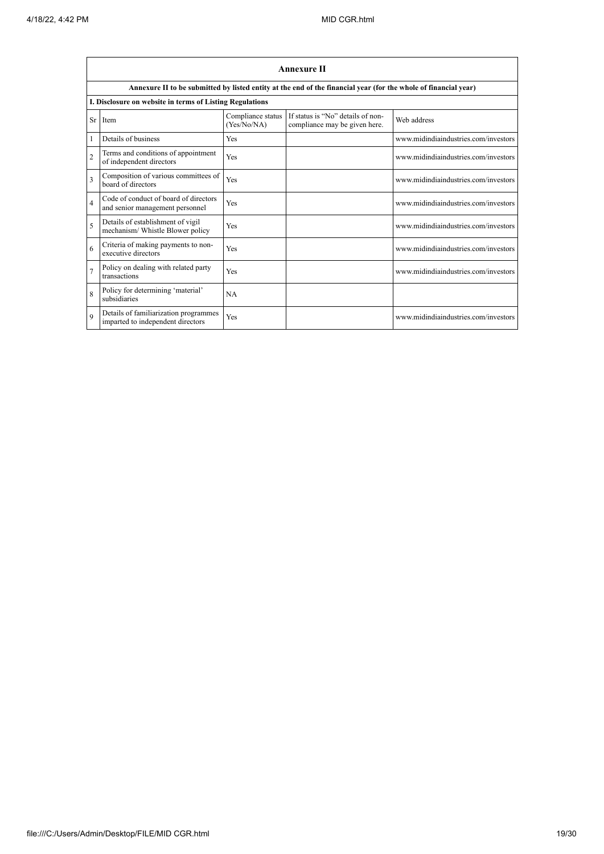|                | <b>Annexure II</b>                                                         |                                  |                                                                                                                 |                                      |  |  |
|----------------|----------------------------------------------------------------------------|----------------------------------|-----------------------------------------------------------------------------------------------------------------|--------------------------------------|--|--|
|                |                                                                            |                                  | Annexure II to be submitted by listed entity at the end of the financial year (for the whole of financial year) |                                      |  |  |
|                | I. Disclosure on website in terms of Listing Regulations                   |                                  |                                                                                                                 |                                      |  |  |
| Sr             | Item                                                                       | Compliance status<br>(Yes/No/NA) | If status is "No" details of non-<br>compliance may be given here.                                              | Web address                          |  |  |
|                | Details of business                                                        | Yes                              |                                                                                                                 | www.midindiaindustries.com/investors |  |  |
| $\overline{2}$ | Terms and conditions of appointment<br>of independent directors            | Yes                              |                                                                                                                 | www.midindiaindustries.com/investors |  |  |
| 3              | Composition of various committees of<br>board of directors                 | Yes                              |                                                                                                                 | www.midindiaindustries.com/investors |  |  |
| $\overline{4}$ | Code of conduct of board of directors<br>and senior management personnel   | Yes                              |                                                                                                                 | www.midindiaindustries.com/investors |  |  |
| 5              | Details of establishment of vigil<br>mechanism/ Whistle Blower policy      | Yes                              |                                                                                                                 | www.midindiaindustries.com/investors |  |  |
| 6              | Criteria of making payments to non-<br>executive directors                 | Yes                              |                                                                                                                 | www.midindiaindustries.com/investors |  |  |
| $\overline{7}$ | Policy on dealing with related party<br>transactions                       | Yes                              |                                                                                                                 | www.midindiaindustries.com/investors |  |  |
| 8              | Policy for determining 'material'<br>subsidiaries                          | <b>NA</b>                        |                                                                                                                 |                                      |  |  |
| $\mathbf Q$    | Details of familiarization programmes<br>imparted to independent directors | Yes                              |                                                                                                                 | www.midindiaindustries.com/investors |  |  |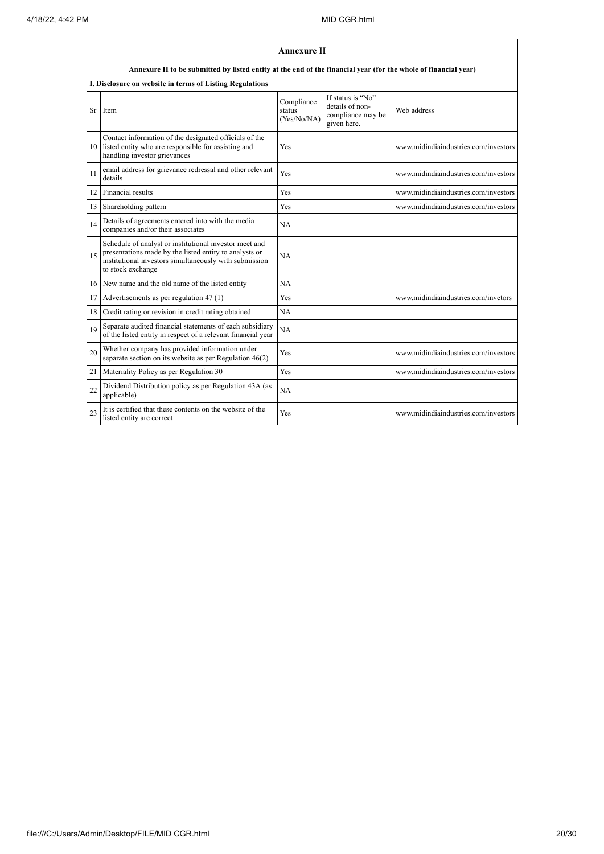|    | <b>Annexure II</b>                                                                                                                                                                              |                                     |                                                                          |                                      |
|----|-------------------------------------------------------------------------------------------------------------------------------------------------------------------------------------------------|-------------------------------------|--------------------------------------------------------------------------|--------------------------------------|
|    | Annexure II to be submitted by listed entity at the end of the financial year (for the whole of financial year)                                                                                 |                                     |                                                                          |                                      |
|    | I. Disclosure on website in terms of Listing Regulations                                                                                                                                        |                                     |                                                                          |                                      |
| Sr | Item                                                                                                                                                                                            | Compliance<br>status<br>(Yes/No/NA) | If status is "No"<br>details of non-<br>compliance may be<br>given here. | Web address                          |
| 10 | Contact information of the designated officials of the<br>listed entity who are responsible for assisting and<br>handling investor grievances                                                   | Yes                                 |                                                                          | www.midindiaindustries.com/investors |
| 11 | email address for grievance redressal and other relevant<br>details                                                                                                                             | Yes                                 |                                                                          | www.midindiaindustries.com/investors |
| 12 | Financial results                                                                                                                                                                               | Yes                                 |                                                                          | www.midindiaindustries.com/investors |
| 13 | Shareholding pattern                                                                                                                                                                            | Yes                                 |                                                                          | www.midindiaindustries.com/investors |
| 14 | Details of agreements entered into with the media<br>companies and/or their associates                                                                                                          | <b>NA</b>                           |                                                                          |                                      |
| 15 | Schedule of analyst or institutional investor meet and<br>presentations made by the listed entity to analysts or<br>institutional investors simultaneously with submission<br>to stock exchange | <b>NA</b>                           |                                                                          |                                      |
| 16 | New name and the old name of the listed entity                                                                                                                                                  | NA                                  |                                                                          |                                      |
| 17 | Advertisements as per regulation 47 (1)                                                                                                                                                         | Yes                                 |                                                                          | www.midindiaindustries.com/invetors  |
| 18 | Credit rating or revision in credit rating obtained                                                                                                                                             | NA                                  |                                                                          |                                      |
| 19 | Separate audited financial statements of each subsidiary<br>of the listed entity in respect of a relevant financial year                                                                        | NA                                  |                                                                          |                                      |
| 20 | Whether company has provided information under<br>separate section on its website as per Regulation $46(2)$                                                                                     | Yes                                 |                                                                          | www.midindiaindustries.com/investors |
| 21 | Materiality Policy as per Regulation 30                                                                                                                                                         | Yes                                 |                                                                          | www.midindiaindustries.com/investors |
| 22 | Dividend Distribution policy as per Regulation 43A (as<br>applicable)                                                                                                                           | NA                                  |                                                                          |                                      |
| 23 | It is certified that these contents on the website of the<br>listed entity are correct                                                                                                          | Yes                                 |                                                                          | www.midindiaindustries.com/investors |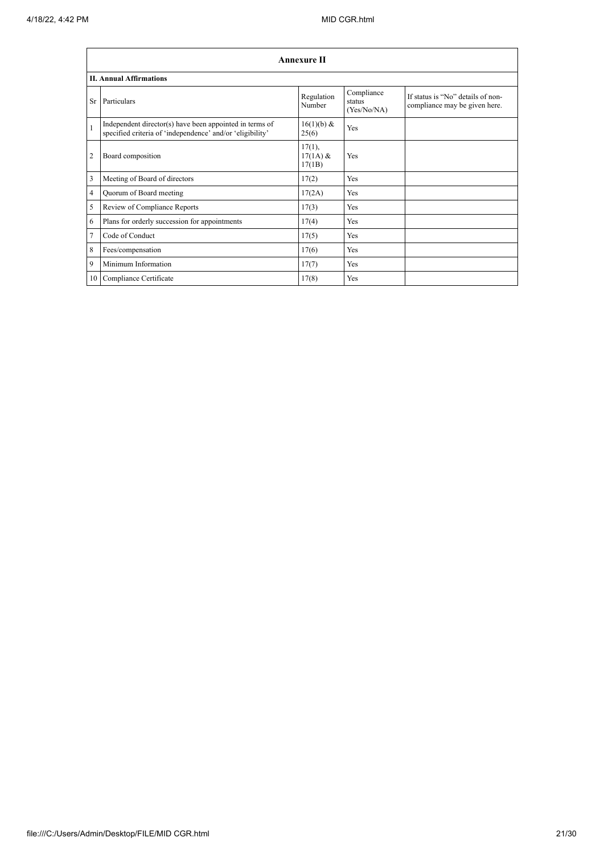|                | <b>Annexure II</b>                                                                                                   |                                   |                                     |                                                                    |  |
|----------------|----------------------------------------------------------------------------------------------------------------------|-----------------------------------|-------------------------------------|--------------------------------------------------------------------|--|
|                | <b>II. Annual Affirmations</b>                                                                                       |                                   |                                     |                                                                    |  |
| Sr.            | Particulars                                                                                                          | Regulation<br>Number              | Compliance<br>status<br>(Yes/No/NA) | If status is "No" details of non-<br>compliance may be given here. |  |
| $\mathbf{1}$   | Independent director(s) have been appointed in terms of<br>specified criteria of 'independence' and/or 'eligibility' | 16(1)(b) &<br>25(6)               | <b>Yes</b>                          |                                                                    |  |
| $\overline{2}$ | Board composition                                                                                                    | $17(1)$ ,<br>$17(1A)$ &<br>17(1B) | Yes                                 |                                                                    |  |
| 3              | Meeting of Board of directors                                                                                        | 17(2)                             | <b>Yes</b>                          |                                                                    |  |
| $\overline{4}$ | Quorum of Board meeting                                                                                              | 17(2A)                            | Yes                                 |                                                                    |  |
| 5              | Review of Compliance Reports                                                                                         | 17(3)                             | Yes                                 |                                                                    |  |
| 6              | Plans for orderly succession for appointments                                                                        | 17(4)                             | Yes                                 |                                                                    |  |
| $\overline{7}$ | Code of Conduct                                                                                                      | 17(5)                             | <b>Yes</b>                          |                                                                    |  |
| 8              | Fees/compensation                                                                                                    | 17(6)                             | Yes                                 |                                                                    |  |
| 9              | Minimum Information                                                                                                  | 17(7)                             | Yes                                 |                                                                    |  |
| 10             | Compliance Certificate                                                                                               | 17(8)                             | Yes                                 |                                                                    |  |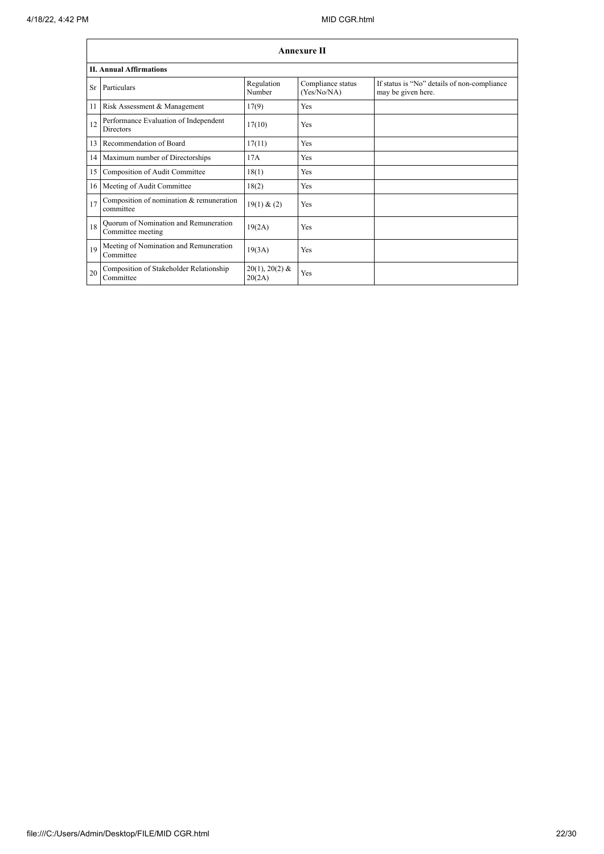$\mathbf{r}$ 

|           | <b>Annexure II</b>                                         |                            |                                  |                                                                   |  |
|-----------|------------------------------------------------------------|----------------------------|----------------------------------|-------------------------------------------------------------------|--|
|           | <b>II. Annual Affirmations</b>                             |                            |                                  |                                                                   |  |
| <b>Sr</b> | Particulars                                                | Regulation<br>Number       | Compliance status<br>(Yes/No/NA) | If status is "No" details of non-compliance<br>may be given here. |  |
| 11        | Risk Assessment & Management                               | 17(9)                      | Yes                              |                                                                   |  |
| 12        | Performance Evaluation of Independent<br><b>Directors</b>  | 17(10)                     | Yes                              |                                                                   |  |
| 13        | Recommendation of Board                                    | 17(11)                     | Yes                              |                                                                   |  |
|           | 14 Maximum number of Directorships                         | 17A                        | Yes                              |                                                                   |  |
| 15        | Composition of Audit Committee                             | 18(1)                      | Yes                              |                                                                   |  |
|           | 16 Meeting of Audit Committee                              | 18(2)                      | Yes                              |                                                                   |  |
| 17        | Composition of nomination & remuneration<br>committee      | 19(1) & (2)                | Yes                              |                                                                   |  |
| 18        | Quorum of Nomination and Remuneration<br>Committee meeting | 19(2A)                     | Yes                              |                                                                   |  |
| 19        | Meeting of Nomination and Remuneration<br>Committee        | 19(3A)                     | Yes                              |                                                                   |  |
| 20        | Composition of Stakeholder Relationship<br>Committee       | $20(1), 20(2)$ &<br>20(2A) | Yes                              |                                                                   |  |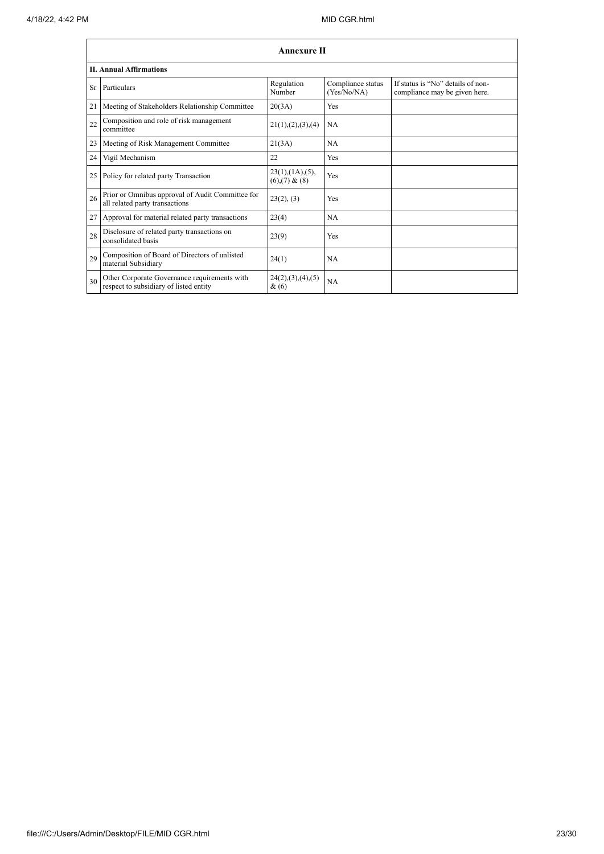|    | <b>Annexure II</b>                                                                     |                                                     |                                  |                                                                    |
|----|----------------------------------------------------------------------------------------|-----------------------------------------------------|----------------------------------|--------------------------------------------------------------------|
|    | <b>II. Annual Affirmations</b>                                                         |                                                     |                                  |                                                                    |
| Sr | Particulars                                                                            | Regulation<br>Number                                | Compliance status<br>(Yes/No/NA) | If status is "No" details of non-<br>compliance may be given here. |
| 21 | Meeting of Stakeholders Relationship Committee                                         | 20(3A)                                              | Yes                              |                                                                    |
| 22 | Composition and role of risk management<br>committee                                   | 21(1), (2), (3), (4)                                | NA                               |                                                                    |
| 23 | Meeting of Risk Management Committee                                                   | 21(3A)                                              | NA                               |                                                                    |
| 24 | Vigil Mechanism                                                                        | 22                                                  | Yes                              |                                                                    |
| 25 | Policy for related party Transaction                                                   | $23(1)$ , $(1A)$ , $(5)$ ,<br>$(6)$ , $(7)$ & $(8)$ | Yes                              |                                                                    |
| 26 | Prior or Omnibus approval of Audit Committee for<br>all related party transactions     | 23(2), (3)                                          | Yes                              |                                                                    |
| 27 | Approval for material related party transactions                                       | 23(4)                                               | NA                               |                                                                    |
| 28 | Disclosure of related party transactions on<br>consolidated basis                      | 23(9)                                               | Yes                              |                                                                    |
| 29 | Composition of Board of Directors of unlisted<br>material Subsidiary                   | 24(1)                                               | NA                               |                                                                    |
| 30 | Other Corporate Governance requirements with<br>respect to subsidiary of listed entity | 24(2), (3), (4), (5)<br>$\&(6)$                     | NA                               |                                                                    |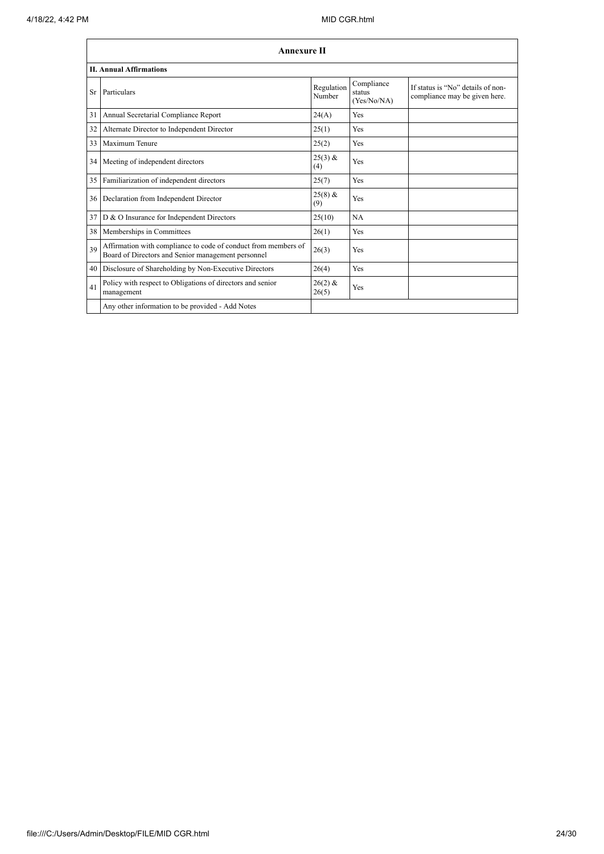|     | <b>Annexure II</b>                                                                                                   |                      |                                     |                                                                    |
|-----|----------------------------------------------------------------------------------------------------------------------|----------------------|-------------------------------------|--------------------------------------------------------------------|
|     | <b>II. Annual Affirmations</b>                                                                                       |                      |                                     |                                                                    |
| Sr. | Particulars                                                                                                          | Regulation<br>Number | Compliance<br>status<br>(Yes/No/NA) | If status is "No" details of non-<br>compliance may be given here. |
| 31  | Annual Secretarial Compliance Report                                                                                 | 24(A)                | Yes                                 |                                                                    |
| 32  | Alternate Director to Independent Director                                                                           | 25(1)                | Yes                                 |                                                                    |
| 33  | Maximum Tenure                                                                                                       | 25(2)                | Yes                                 |                                                                    |
| 34  | Meeting of independent directors                                                                                     | $25(3)$ &<br>(4)     | Yes                                 |                                                                    |
| 35  | Familiarization of independent directors                                                                             | 25(7)                | Yes                                 |                                                                    |
| 36  | Declaration from Independent Director                                                                                | $25(8)$ &<br>(9)     | Yes                                 |                                                                    |
| 37  | D & O Insurance for Independent Directors                                                                            | 25(10)               | NA                                  |                                                                    |
| 38  | Memberships in Committees                                                                                            | 26(1)                | Yes                                 |                                                                    |
| 39  | Affirmation with compliance to code of conduct from members of<br>Board of Directors and Senior management personnel | 26(3)                | Yes                                 |                                                                    |
| 40  | Disclosure of Shareholding by Non-Executive Directors                                                                | 26(4)                | Yes                                 |                                                                    |
| 41  | Policy with respect to Obligations of directors and senior<br>management                                             | $26(2)$ &<br>26(5)   | Yes                                 |                                                                    |
|     | Any other information to be provided - Add Notes                                                                     |                      |                                     |                                                                    |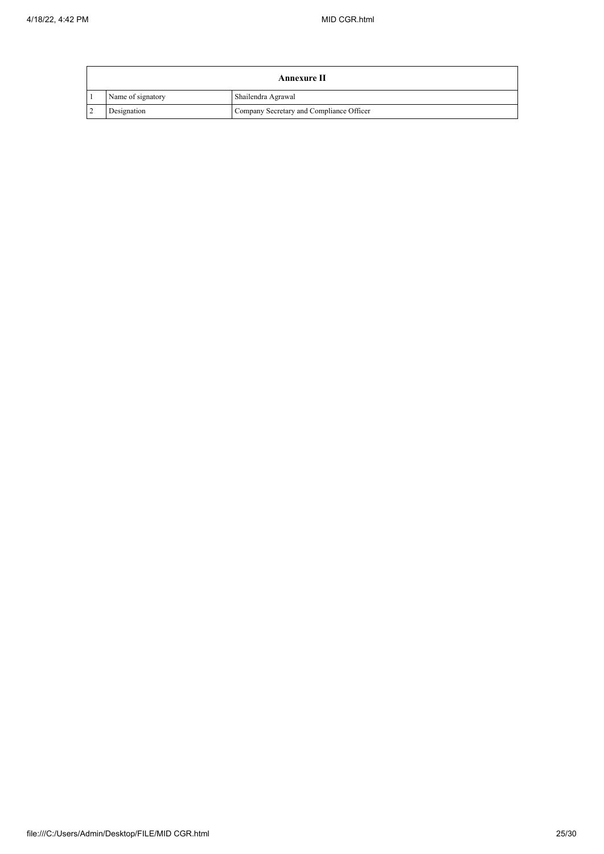|                   | Annexure II                              |
|-------------------|------------------------------------------|
| Name of signatory | Shailendra Agrawal                       |
| Designation       | Company Secretary and Compliance Officer |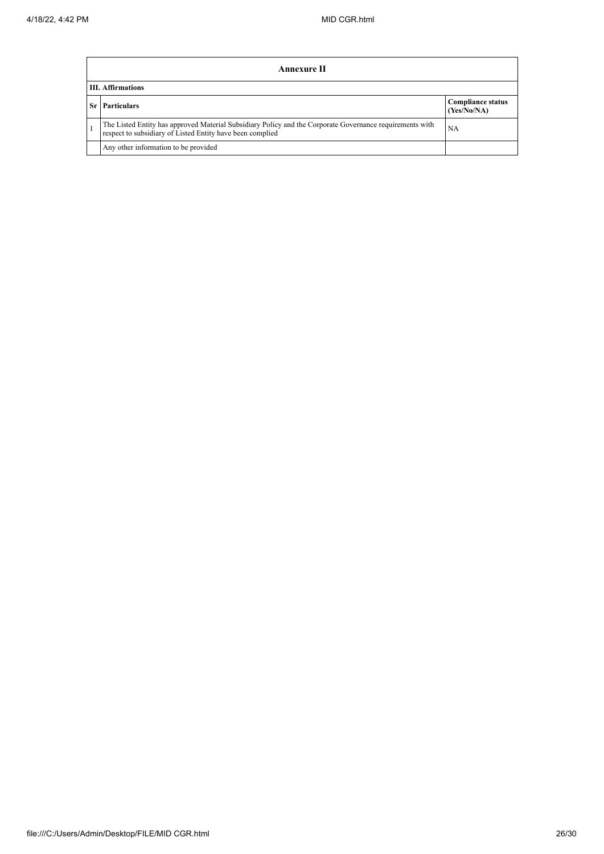|                          | Annexure II                                                                                                                                                           |                                         |  |  |  |
|--------------------------|-----------------------------------------------------------------------------------------------------------------------------------------------------------------------|-----------------------------------------|--|--|--|
| <b>III.</b> Affirmations |                                                                                                                                                                       |                                         |  |  |  |
|                          | <b>Particulars</b>                                                                                                                                                    | <b>Compliance status</b><br>(Yes/No/NA) |  |  |  |
|                          | The Listed Entity has approved Material Subsidiary Policy and the Corporate Governance requirements with<br>respect to subsidiary of Listed Entity have been complied | NA                                      |  |  |  |
|                          | Any other information to be provided                                                                                                                                  |                                         |  |  |  |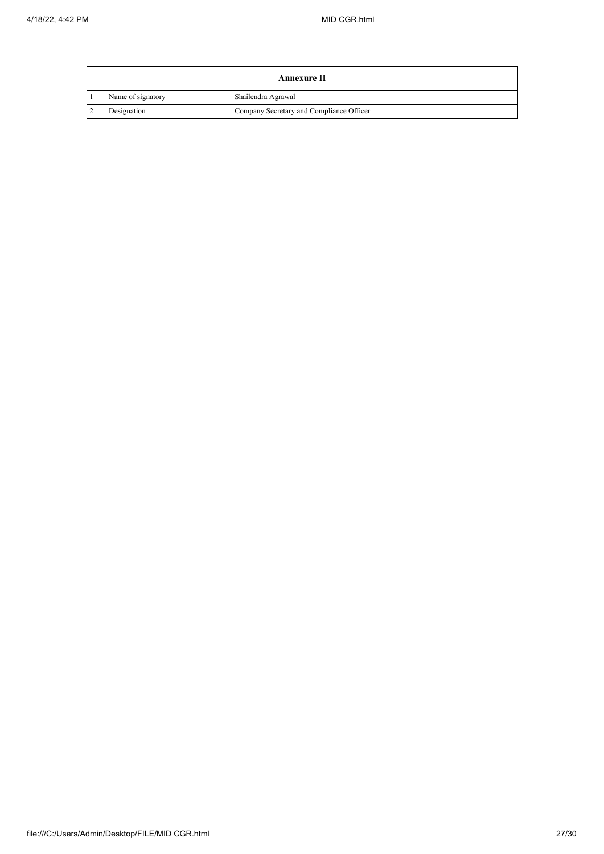| Annexure II    |                   |                                          |  |  |  |
|----------------|-------------------|------------------------------------------|--|--|--|
|                | Name of signatory | Shailendra Agrawal                       |  |  |  |
| $\overline{2}$ | Designation       | Company Secretary and Compliance Officer |  |  |  |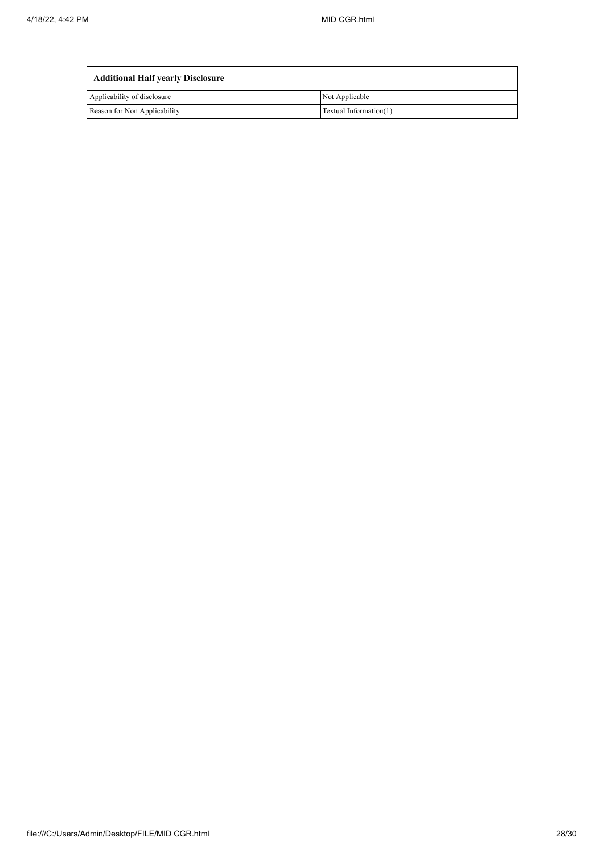| <b>Additional Half yearly Disclosure</b> |                        |  |  |  |  |
|------------------------------------------|------------------------|--|--|--|--|
| Applicability of disclosure              | Not Applicable         |  |  |  |  |
| Reason for Non Applicability             | Textual Information(1) |  |  |  |  |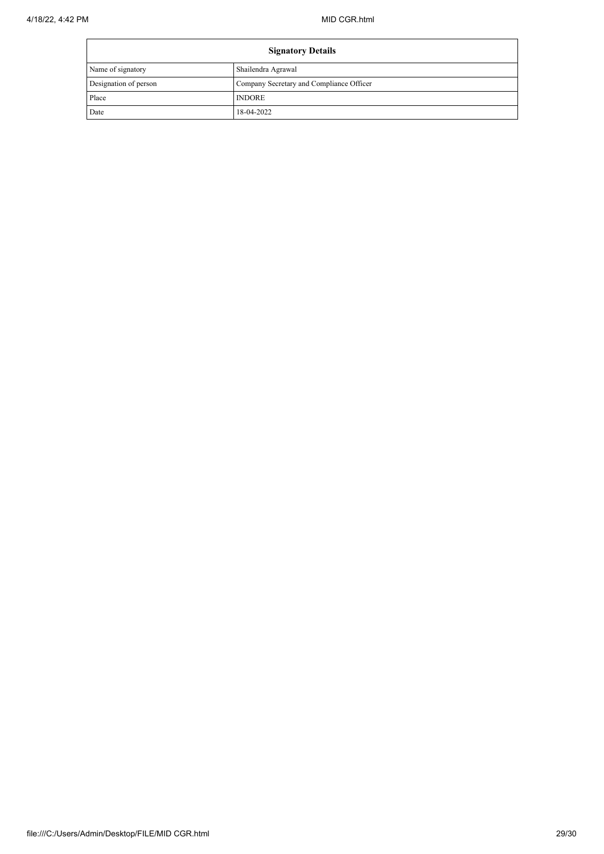| <b>Signatory Details</b> |                                          |  |
|--------------------------|------------------------------------------|--|
| Name of signatory        | Shailendra Agrawal                       |  |
| Designation of person    | Company Secretary and Compliance Officer |  |
| Place                    | <b>INDORE</b>                            |  |
| Date                     | 18-04-2022                               |  |